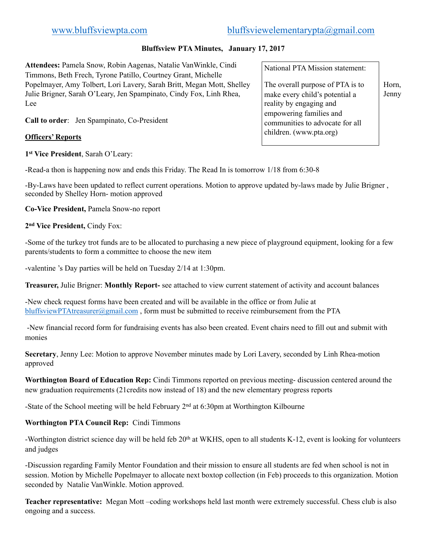# [www.bluffsviewpta.com](http://www.bluffsviewpta.com)[bluffsviewelementarypta@gmail.com](mailto:bluffsviewelementarypta@gmail.com)

# **Bluffsview PTA Minutes, January 17, 2017**

**Attendees:** Pamela Snow, Robin Aagenas, Natalie VanWinkle, Cindi Timmons, Beth Frech, Tyrone Patillo, Courtney Grant, Michelle Popelmayer, Amy Tolbert, Lori Lavery, Sarah Britt, Megan Mott, Shelley  $\|$ The overall purpose of PTA is to  $\|$  Horn, Julie Brigner, Sarah O'Leary, Jen Spampinato, Cindy Fox, Linh Rhea, make every child's potential a Jenny Lee

**Call to order**: Jen Spampinato, Co-President

### **Officers' Reports**

**1st Vice President**, Sarah O'Leary:

-Read-a thon is happening now and ends this Friday. The Read In is tomorrow 1/18 from 6:30-8

-By-Laws have been updated to reflect current operations. Motion to approve updated by-laws made by Julie Brigner , seconded by Shelley Horn- motion approved

**Co-Vice President,** Pamela Snow-no report

**2nd Vice President,** Cindy Fox:

-Some of the turkey trot funds are to be allocated to purchasing a new piece of playground equipment, looking for a few parents/students to form a committee to choose the new item

-valentine 's Day parties will be held on Tuesday 2/14 at 1:30pm.

**Treasurer,** Julie Brigner: **Monthly Report-** see attached to view current statement of activity and account balances

-New check request forms have been created and will be available in the office or from Julie at [bluffsviewPTAtreasurer@gmail.com](mailto:bluffsviewPTAtreasurer@gmail.com) , form must be submitted to receive reimbursement from the PTA

 -New financial record form for fundraising events has also been created. Event chairs need to fill out and submit with monies

**Secretary**, Jenny Lee: Motion to approve November minutes made by Lori Lavery, seconded by Linh Rhea-motion approved

**Worthington Board of Education Rep:** Cindi Timmons reported on previous meeting- discussion centered around the new graduation requirements (21credits now instead of 18) and the new elementary progress reports

-State of the School meeting will be held February  $2<sup>nd</sup>$  at 6:30pm at Worthington Kilbourne

# **Worthington PTA Council Rep:** Cindi Timmons

-Worthington district science day will be held feb 20<sup>th</sup> at WKHS, open to all students K-12, event is looking for volunteers and judges

-Discussion regarding Family Mentor Foundation and their mission to ensure all students are fed when school is not in session. Motion by Michelle Popelmayer to allocate next boxtop collection (in Feb) proceeds to this organization. Motion seconded by Natalie VanWinkle. Motion approved.

**Teacher representative:** Megan Mott –coding workshops held last month were extremely successful. Chess club is also ongoing and a success.

# National PTA Mission statement:

The overall purpose of PTA is to make every child's potential a reality by engaging and empowering families and communities to advocate for all children. (www.pta.org)